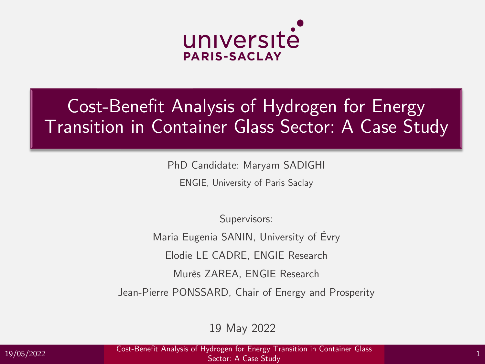

### Cost-Benefit Analysis of Hydrogen for Energy Transition in Container Glass Sector: A Case Study

PhD Candidate: Maryam SADIGHI

ENGIE, University of Paris Saclay

Supervisors:

Maria Eugenia SANIN, University of Évry

Elodie LE CADRE, ENGIE Research

Murès ZAREA, ENGIE Research

Jean-Pierre PONSSARD, Chair of Energy and Prosperity

19 May 2022

19/05/2022 Cost-Benefit Analysis of Hydrogen for Energy Transition in Container Glass Sector: A Case Study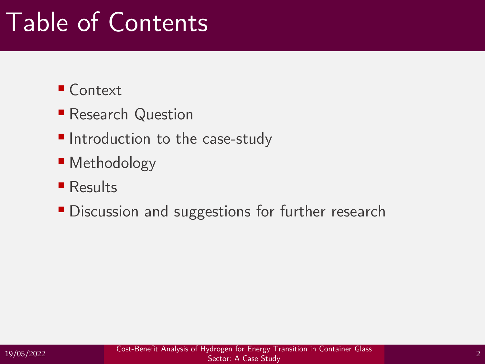### Table of Contents

### ■ Context

- **Research Question**
- Introduction to the case-study
- Methodology
- Results
- **Discussion and suggestions for further research**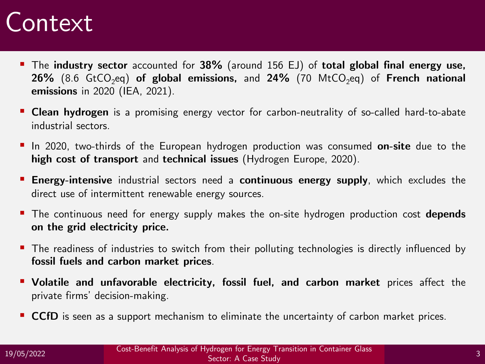### Context **Context**

- The **industry sector** accounted for **38%** (around 156 EJ) of **total global final energy use,**  $26\%$  (8.6 GtCO<sub>2</sub>eq) **of global emissions,** and  $24\%$  (70 MtCO<sub>2</sub>eq) of **French national emissions** in 2020 (IEA, 2021).
- **Clean hydrogen** is a promising energy vector for carbon-neutrality of so-called hard-to-abate industrial sectors.
- In 2020, two-thirds of the European hydrogen production was consumed **on-site** due to the **high cost of transport** and **technical issues** (Hydrogen Europe, 2020).
- **Energy-intensive** industrial sectors need a **continuous energy supply**, which excludes the direct use of intermittent renewable energy sources.
- The continuous need for energy supply makes the on-site hydrogen production cost **depends on the grid electricity price.**
- The readiness of industries to switch from their polluting technologies is directly influenced by **fossil fuels and carbon market prices**.
- **Volatile and unfavorable electricity, fossil fuel, and carbon market** prices affect the private firms' decision-making.
- **CCfD** is seen as a support mechanism to eliminate the uncertainty of carbon market prices.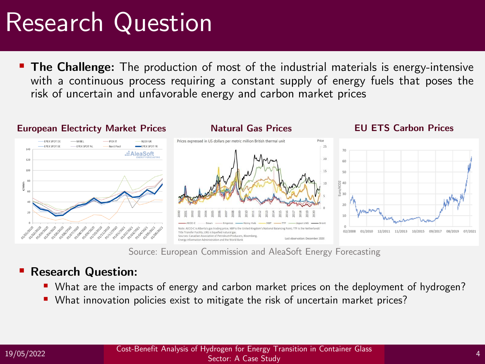### Research Question

■ The Challenge: The production of most of the industrial materials is energy-intensive with a continuous process requiring a constant supply of energy fuels that poses the risk of uncertain and unfavorable energy and carbon market prices



Source: European Commission and AleaSoft Energy Forecasting

#### ▪ **Research Question:**

- What are the impacts of energy and carbon market prices on the deployment of hydrogen?
- What innovation policies exist to mitigate the risk of uncertain market prices?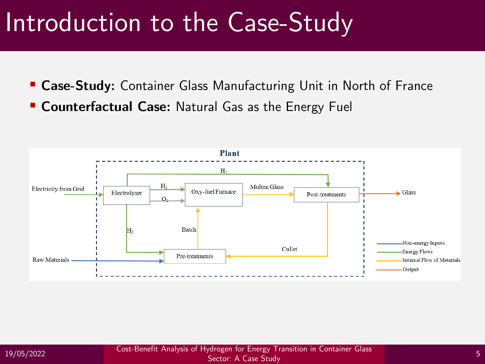### Introduction to the Case-Study

**E Case-Study:** Container Glass Manufacturing Unit in North of France **Counterfactual Case: Natural Gas as the Energy Fuel** 

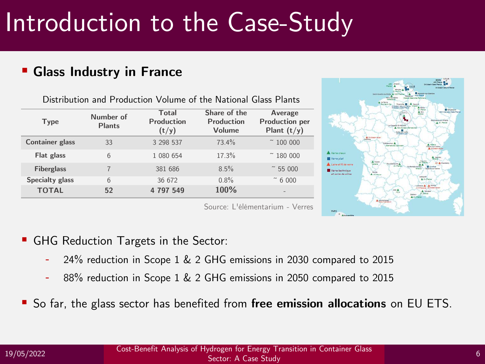# Introduction to the Case-Study

#### ▪ **Glass Industry in France**

Distribution and Production Volume of the National Glass Plants

| <b>Type</b>            | Number of<br><b>Plants</b> | <b>Total</b><br><b>Production</b><br>(t/y) | Share of the<br><b>Production</b><br>Volume | <b>Average</b><br><b>Production per</b><br>Plant $(t/y)$ |  |
|------------------------|----------------------------|--------------------------------------------|---------------------------------------------|----------------------------------------------------------|--|
| <b>Container glass</b> | 33                         | 3 298 537                                  | 73.4%                                       | $~^{\sim}$ 100 000                                       |  |
| Flat glass             | 6                          | 1 080 654                                  | 17.3%                                       | $~^{\sim}$ 180 000                                       |  |
| <b>Fiberglass</b>      | 7                          | 381 686                                    | 8.5%                                        | 55 000                                                   |  |
| <b>Specialty glass</b> | 6                          | 36 672                                     | 0.8%                                        | $~^{\sim}$ 6 000                                         |  |
| <b>TOTAL</b>           | 52                         | 4 797 549                                  | 100%                                        | -                                                        |  |



Source: L'élémentarium - Verres

- GHG Reduction Targets in the Sector:
	- 24% reduction in Scope 1 & 2 GHG emissions in 2030 compared to 2015
	- 88% reduction in Scope 1 & 2 GHG emissions in 2050 compared to 2015
- So far, the glass sector has benefited from free emission allocations on EU ETS.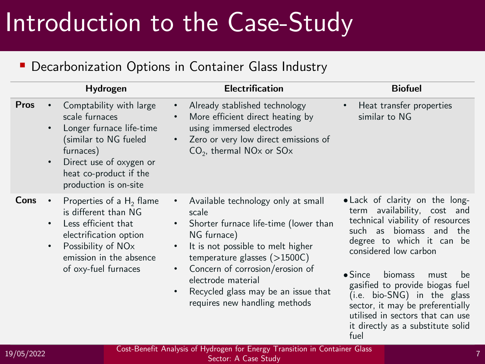### Introduction to the Case-Study

#### **• Decarbonization Options in Container Glass Industry**

|             | Hydrogen                                                                                                                                                                                                                         | <b>Electrification</b>                                                                                                                                                                                                                                                                                                                                                        | <b>Biofuel</b>                                                                                                                                                                                                                                                                                                                                                                                                        |
|-------------|----------------------------------------------------------------------------------------------------------------------------------------------------------------------------------------------------------------------------------|-------------------------------------------------------------------------------------------------------------------------------------------------------------------------------------------------------------------------------------------------------------------------------------------------------------------------------------------------------------------------------|-----------------------------------------------------------------------------------------------------------------------------------------------------------------------------------------------------------------------------------------------------------------------------------------------------------------------------------------------------------------------------------------------------------------------|
| <b>Pros</b> | Comptability with large<br>$\bullet$<br>scale furnaces<br>Longer furnace life-time<br>$\bullet$<br>(similar to NG fueled<br>furnaces)<br>Direct use of oxygen or<br>$\bullet$<br>heat co-product if the<br>production is on-site | Already stablished technology<br>$\bullet$<br>More efficient direct heating by<br>$\bullet$<br>using immersed electrodes<br>Zero or very low direct emissions of<br>$CO2$ , thermal NO <sub>x</sub> or SO <sub>x</sub>                                                                                                                                                        | Heat transfer properties<br>similar to NG                                                                                                                                                                                                                                                                                                                                                                             |
| Cons        | Properties of a $H_2$ flame<br>$\bullet$<br>is different than NG<br>Less efficient that<br>$\bullet$<br>electrification option<br>Possibility of NO <sub>x</sub><br>$\bullet$<br>emission in the absence<br>of oxy-fuel furnaces | Available technology only at small<br>$\bullet$<br>scale<br>Shorter furnace life-time (lower than<br>$\bullet$<br>NG furnace)<br>It is not possible to melt higher<br>$\bullet$<br>temperature glasses $($ >1500C)<br>Concern of corrosion/erosion of<br>$\bullet$<br>electrode material<br>Recycled glass may be an issue that<br>$\bullet$<br>requires new handling methods | • Lack of clarity on the long-<br>term availability, cost and<br>technical viability of resources<br>such as biomass and the<br>degree to which it can be<br>considered low carbon<br>$\bullet$ Since<br>biomass<br>must<br>be<br>gasified to provide biogas fuel<br>(i.e. bio-SNG) in the glass<br>sector, it may be preferentially<br>utilised in sectors that can use<br>it directly as a substitute solid<br>fuel |

19/05/2022 7 Cost-Benefit Analysis of Hydrogen for Energy Transition in Container Glass Sector: A Case Study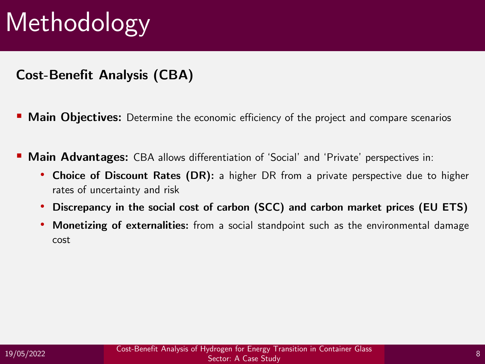**Cost-Benefit Analysis (CBA)**

- **Main Objectives:** Determine the economic efficiency of the project and compare scenarios
- **Main Advantages:** CBA allows differentiation of 'Social' and 'Private' perspectives in:
	- **Choice of Discount Rates (DR):** a higher DR from a private perspective due to higher rates of uncertainty and risk
	- **Discrepancy in the social cost of carbon (SCC) and carbon market prices (EU ETS)**
	- **Monetizing of externalities:** from a social standpoint such as the environmental damage cost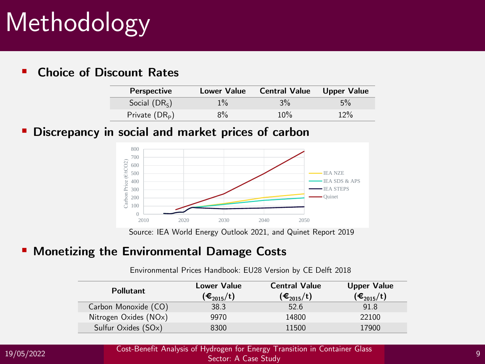#### ▪ **Choice of Discount Rates**

| <b>Perspective</b> | <b>Lower Value</b> | <b>Central Value</b> Upper Value |       |
|--------------------|--------------------|----------------------------------|-------|
| Social $(DR_{S})$  | $1\%$              | $3\%$                            | $5\%$ |
| Private $(DRp)$    | $8\%$              | 10%                              | 12%   |

#### **Discrepancy in social and market prices of carbon**



Source: IEA World Energy Outlook 2021, and Quinet Report 2019

#### **EXPLORE: Monetizing the Environmental Damage Costs**

Environmental Prices Handbook: EU28 Version by CE Delft 2018

| <b>Pollutant</b>      | <b>Lower Value</b><br>$(€_{2015}/t)$ | <b>Central Value</b><br>(€ $_{2015}/t)$ | <b>Upper Value</b><br>$(\boldsymbol{\epsilon}_{2015}/t)$ |  |
|-----------------------|--------------------------------------|-----------------------------------------|----------------------------------------------------------|--|
| Carbon Monoxide (CO)  | 38.3                                 | 52.6                                    | 91.8                                                     |  |
| Nitrogen Oxides (NOx) | 9970                                 | 14800                                   | 22100                                                    |  |
| Sulfur Oxides (SOx)   | 8300                                 | 11500                                   | 17900                                                    |  |

19/05/2022 9 Cost-Benefit Analysis of Hydrogen for Energy Transition in Container Glass Sector: A Case Study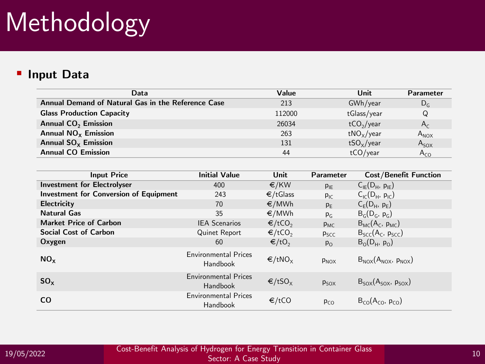#### ▪ **Input Data**

| Data                                               | Value  | Unit                   | <b>Parameter</b> |  |
|----------------------------------------------------|--------|------------------------|------------------|--|
| Annual Demand of Natural Gas in the Reference Case | 213    | GWh/year               | $D_G$            |  |
| <b>Glass Production Capacity</b>                   | 112000 | tGlass/year            | Q                |  |
| <b>Annual CO<sub>2</sub></b> Emission              | 26034  | tCO <sub>2</sub> /year | $A_{c}$          |  |
| Annual $NOx$ Emission                              | 263    | $tNO_{x}/year$         | $A_{NOX}$        |  |
| Annual $SO_x$ Emission                             | 131    | $tSO_x$ /year          | $A_{SOX}$        |  |
| <b>Annual CO Emission</b>                          | 44     | tCO/year               | $A_{CO}$         |  |

| <b>Input Price</b>                            | <b>Initial Value</b>                    | Unit               | <b>Parameter</b> | <b>Cost/Benefit Function</b>                 |
|-----------------------------------------------|-----------------------------------------|--------------------|------------------|----------------------------------------------|
| <b>Investment for Electrolyser</b>            | 400                                     | €/KW               | $P_{IE}$         | $C_{IE}(D_H, p_{IE})$                        |
| <b>Investment for Conversion of Equipment</b> | 243                                     | €/tGlass           | $P_{IC}$         | $C_{\text{IC}}(D_{\text{H}}, p_{\text{IC}})$ |
| <b>Electricity</b>                            | 70                                      | €/MWh              | $p_{E}$          | $C_E(D_H, p_E)$                              |
| <b>Natural Gas</b>                            | 35                                      | €/MWh              | $P_G$            | $B_G(D_G, p_G)$                              |
| <b>Market Price of Carbon</b>                 | <b>IEA Scenarios</b>                    | €/tCO <sub>2</sub> | $P_{MC}$         | $B_{MC}(A_C, p_{MC})$                        |
| <b>Social Cost of Carbon</b>                  | Quinet Report                           | ∈/tCO <sub>2</sub> | P <sub>SCC</sub> | $B_{SCC}(A_C, p_{SCC})$                      |
| Oxygen                                        | 60                                      | $∈/to_2$           | $P_{O}$          | $B_0(D_H, p_0)$                              |
| NO <sub>x</sub>                               | <b>Environmental Prices</b><br>Handbook | ∈/tNO <sub>x</sub> | P <sub>NOX</sub> | $B_{NOX}(A_{NOX}, p_{NOX})$                  |
| $SO_{x}$                                      | <b>Environmental Prices</b><br>Handbook | ∈/tSO <sub>x</sub> | $P_{SOX}$        | $B_{SOX}(A_{SOX}, p_{SOX})$                  |
| CO                                            | <b>Environmental Prices</b><br>Handbook | €/tCO              | $P_{CO}$         | $B_{CO}(A_{CO}, p_{CO})$                     |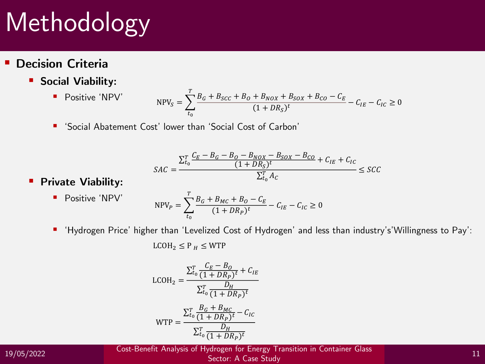#### ▪ **Decision Criteria**

▪ **Social Viability:**

■ Positive 'NPV' 
$$
NPV_S = \sum_{t_0}^{T} \frac{B_G + B_{SCC} + B_O + B_{NOX} + B_{SOX} + B_{CO} - C_E}{(1 + DR_S)^t} - C_{IE} - C_{IC} \ge 0
$$

■ 'Social Abatement Cost' lower than 'Social Cost of Carbon'

$$
SAC = \frac{\sum_{t_0}^{T} \frac{C_E - B_G - B_{O} - B_{NOX} - B_{SOX} - B_{CO}}{(1 + DR_S)^t} + C_{IE} + C_{IC}}{\sum_{t_0}^{T} A_C} \leq SCC
$$

#### ▪ **Private Viability:**

■ Positive 'NPV'  
\n
$$
NPV_{P} = \sum_{t_{0}}^{T} \frac{B_{G} + B_{MC} + B_{O} - C_{E}}{(1 + DR_{P})^{t}} - C_{IE} - C_{IC} \ge 0
$$

▪ 'Hydrogen Price' higher than 'Levelized Cost of Hydrogen' and less than industry's'Willingness to Pay':

 $LCOH<sub>2</sub> \leq P<sub>H</sub> \leq WTP$ 

$$
LCOH_2 = \frac{\sum_{t_0}^{T} \frac{C_E - B_O}{(1 + DR_P)^t} + C_{IE}}{\sum_{t_0}^{T} \frac{D_H}{(1 + DR_P)^t}}
$$
  
WTP = 
$$
\frac{\sum_{t_0}^{T} \frac{B_G + B_{MC}}{(1 + DR_P)^t} - C_{IC}}{\sum_{t_0}^{T} \frac{D_H}{(1 + DR_P)^t}}
$$

19/05/2022 <sup>11</sup> Cost-Benefit Analysis of Hydrogen for Energy Transition in Container Glass Sector: A Case Study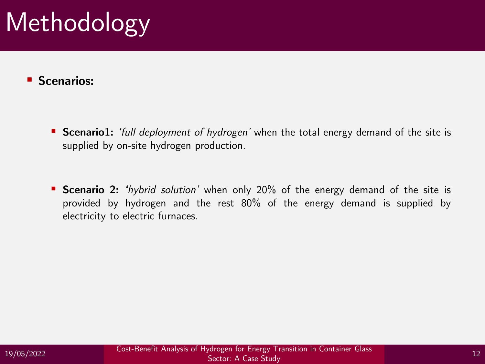#### ▪ **Scenarios:**

- Scenario1: 'full *deployment of hydrogen'* when the total energy demand of the site is supplied by on-site hydrogen production.
- Scenario 2: *'hybrid solution'* when only 20% of the energy demand of the site is provided by hydrogen and the rest 80% of the energy demand is supplied by electricity to electric furnaces.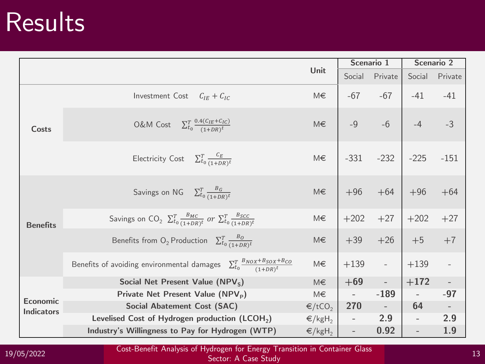## Results **Results**

|                                      |                                                                                                         |                              | Scenario 1          |                     | <b>Scenario 2</b>        |                             |
|--------------------------------------|---------------------------------------------------------------------------------------------------------|------------------------------|---------------------|---------------------|--------------------------|-----------------------------|
|                                      |                                                                                                         | Unit                         |                     | Social Private      | Social                   | Private                     |
| Costs                                | Investment Cost $C_{IE} + C_{IC}$                                                                       | M€                           | $-67$               | $-67$               | $-41$                    | $-41$                       |
|                                      | O&M Cost $\sum_{t_0}^{T} \frac{0.4(C_{IE}+C_{IC})}{(1+DR)^t}$                                           | M€                           | $-9$                |                     | $-6$ $-4$                | $-3$                        |
|                                      | Electricity Cost $\sum_{t_0}^{T} \frac{c_E}{(1+DR)^t}$                                                  | M€                           |                     | $-331 - 232$ $-225$ |                          | $-151$                      |
| <b>Benefits</b>                      | Savings on NG $\sum_{t_0}^{T} \frac{B_G}{(1+DR)^t}$                                                     | M€                           |                     | $+96 +64 +96$       |                          | $+64$                       |
|                                      | Savings on $CO_2$ $\sum_{t_0}^{T} \frac{B_{MC}}{(1+DR)^t}$ or $\sum_{t_0}^{T} \frac{B_{SCC}}{(1+DR)^t}$ | M€                           |                     | $+202 +27 +202$     |                          | $+27$                       |
|                                      | Benefits from O <sub>2</sub> Production $\sum_{t_0}^{T} \frac{B_0}{(1+DR)^t}$                           | M€                           |                     | $+39 +26 +5$        |                          | $+7$                        |
|                                      | Benefits of avoiding environmental damages $\sum_{t_0}^{T} \frac{B_{NOX}+B_{SOX}+B_{CO}}{(1+DN)^t}$     | M€                           |                     | $+139 - -$          | $ +139$                  | $\mathbb{L}$                |
|                                      | Social Net Present Value (NPV <sub>S</sub> )                                                            | M€                           |                     | $+69$ -             | $+172$                   | $\mathcal{L}^{\mathcal{L}}$ |
| <b>Economic</b><br><b>Indicators</b> | Private Net Present Value (NPV <sub>P</sub> )                                                           | M€                           | $\omega_{\rm{max}}$ | $-189$              |                          | $-97$                       |
|                                      | <b>Social Abatement Cost (SAC)</b>                                                                      | $\epsilon$ /tCO <sub>2</sub> | 270                 | $\sim$ $  -$        | 64                       |                             |
|                                      | Levelised Cost of Hydrogen production (LCOH <sub>2</sub> )                                              | $\in$ /kgH <sub>2</sub>      |                     | 2.9                 | $\equiv$                 | 2.9                         |
|                                      | Industry's Willingness to Pay for Hydrogen (WTP)                                                        | $\epsilon$ /kgH <sub>2</sub> | $\mathbb{L}^+$      | 0.92                | $\overline{\phantom{a}}$ | 1.9                         |

19/05/2022 Cost-Benefit Analysis of Hydrogen for Energy Transition in Container Glass 19/05/2022 Cost-Benefit Analysis of Hydrogen for Energy Transition in Container Glass

Sector: A Case Study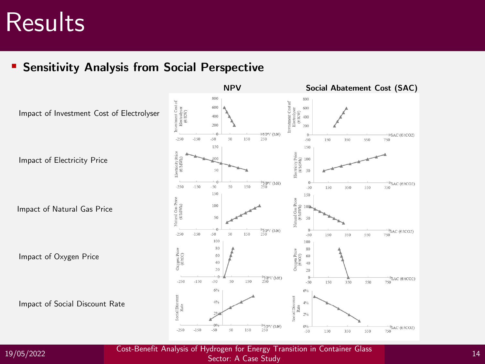## Results **Results**

**Sensitivity Analysis from Social Perspective** 



19/05/2022 <sup>14</sup> Cost-Benefit Analysis of Hydrogen for Energy Transition in Container Glass Sector: A Case Study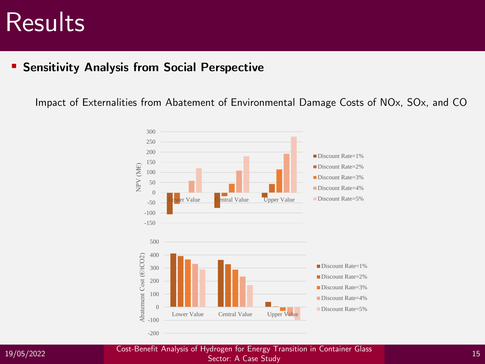### Results

#### ▪ **Sensitivity Analysis from Social Perspective**

Impact of Externalities from Abatement of Environmental Damage Costs of NOx, SOx, and CO



19/05/2022 <sup>15</sup> Cost-Benefit Analysis of Hydrogen for Energy Transition in Container Glass Sector: A Case Study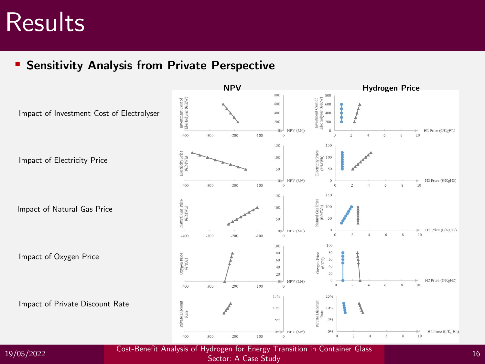## Results **Results**

▪ **Sensitivity Analysis from Private Perspective**



19/05/2022 <sup>16</sup> Cost-Benefit Analysis of Hydrogen for Energy Transition in Container Glass

Sector: A Case Study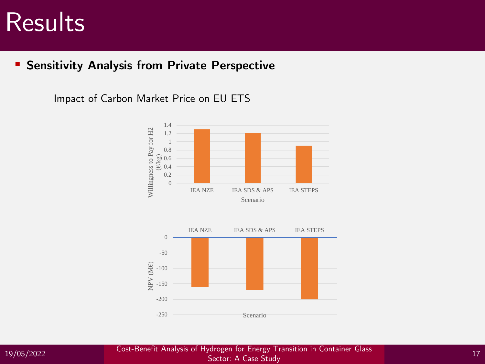### Results

#### ▪ **Sensitivity Analysis from Private Perspective**

Impact of Carbon Market Price on EU ETS





19/05/2022 <sup>17</sup> Cost-Benefit Analysis of Hydrogen for Energy Transition in Container Glass Sector: A Case Study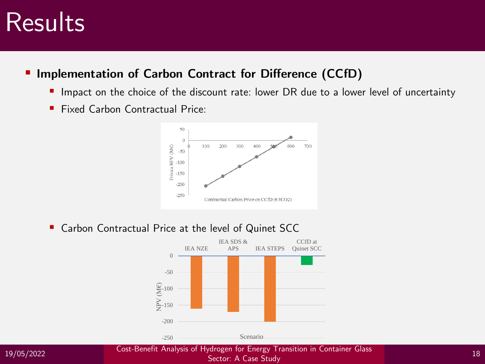## Results **Results**

#### **Implementation of Carbon Contract for Difference (CCfD)**

- Impact on the choice of the discount rate: lower DR due to a lower level of uncertainty
- Fixed Carbon Contractual Price:



■ Carbon Contractual Price at the level of Quinet SCC





19/05/2022 <sup>18</sup> Cost-Benefit Analysis of Hydrogen for Energy Transition in Container Glass Sector: A Case Study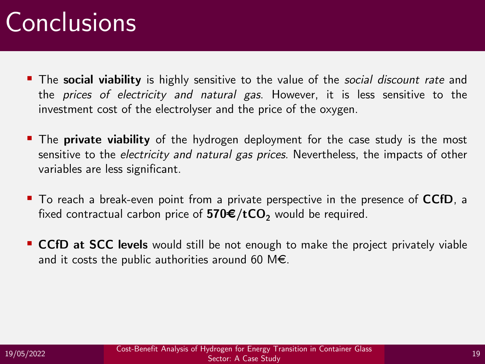# Conclusions and Contents

- The **social viability** is highly sensitive to the value of the *social discount rate* and the *prices of electricity and natural gas*. However, it is less sensitive to the investment cost of the electrolyser and the price of the oxygen.
- The **private viability** of the hydrogen deployment for the case study is the most sensitive to the *electricity and natural gas prices*. Nevertheless, the impacts of other variables are less significant.
- To reach a break-even point from a private perspective in the presence of **CCfD**, a fixed contractual carbon price of  $570 \text{E}/tCO$ <sub>2</sub> would be required.
- CCfD at SCC levels would still be not enough to make the project privately viable and it costs the public authorities around 60 M $\epsilon$ .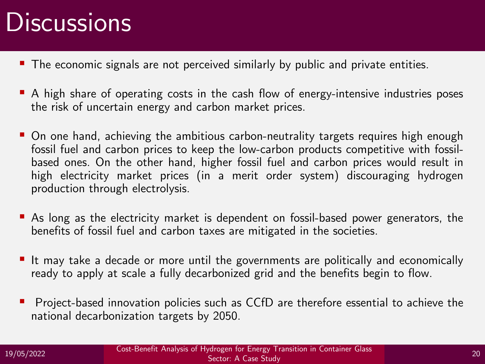## Discussions **Discussions**

- **The economic signals are not perceived similarly by public and private entities.**
- A high share of operating costs in the cash flow of energy-intensive industries poses the risk of uncertain energy and carbon market prices.
- On one hand, achieving the ambitious carbon-neutrality targets requires high enough fossil fuel and carbon prices to keep the low-carbon products competitive with fossilbased ones. On the other hand, higher fossil fuel and carbon prices would result in high electricity market prices (in a merit order system) discouraging hydrogen production through electrolysis.
- As long as the electricity market is dependent on fossil-based power generators, the benefits of fossil fuel and carbon taxes are mitigated in the societies.
- It may take a decade or more until the governments are politically and economically ready to apply at scale a fully decarbonized grid and the benefits begin to flow.
- Project-based innovation policies such as CCfD are therefore essential to achieve the national decarbonization targets by 2050.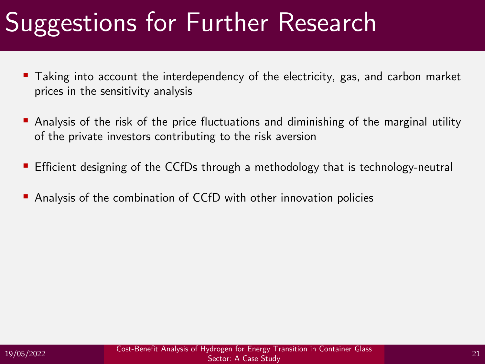## Suggestions for Further Research

- Taking into account the interdependency of the electricity, gas, and carbon market prices in the sensitivity analysis
- **•** Analysis of the risk of the price fluctuations and diminishing of the marginal utility of the private investors contributing to the risk aversion
- Efficient designing of the CCfDs through a methodology that is technology-neutral
- Analysis of the combination of CCfD with other innovation policies